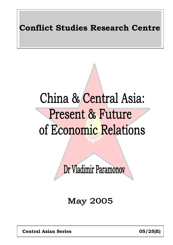# **Conflict Studies Research Centre**

# China & Central Asia: Present & Future of Economic Relations

Dr Vladimir Paramonov

**May 2005** 

 **Central Asian Series 05/25(E)**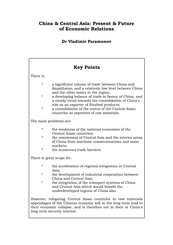## **China & Central Asia: Present & Future of Economic Relations**

## **Dr Vladimir Paramonov**

| <b>Key Points</b> |                                                                                                                                                                                                                                      |  |  |  |  |  |  |  |  |
|-------------------|--------------------------------------------------------------------------------------------------------------------------------------------------------------------------------------------------------------------------------------|--|--|--|--|--|--|--|--|
| There is          |                                                                                                                                                                                                                                      |  |  |  |  |  |  |  |  |
| *                 | a significant volume of trade between China and<br>Kazakhstan, and a relatively low level between China                                                                                                                              |  |  |  |  |  |  |  |  |
| $^\star$          | and the other states in the region;<br>a developing balance of trade in favour of China, and<br>a steady trend towards the consolidation of China's                                                                                  |  |  |  |  |  |  |  |  |
| $^\star$          | role as an exporter of finished products;<br>a consolidation of the status of the Central Asian<br>countries as exporters of raw materials.                                                                                          |  |  |  |  |  |  |  |  |
|                   | The main problems are:                                                                                                                                                                                                               |  |  |  |  |  |  |  |  |
| $^\star$          | the weakness of the national economies of the<br>Central Asian countries;                                                                                                                                                            |  |  |  |  |  |  |  |  |
| *                 | the remoteness of Central Asia and the interior areas<br>of China from maritime communications and main<br>markets;                                                                                                                  |  |  |  |  |  |  |  |  |
| *                 | the numerous trade barriers.                                                                                                                                                                                                         |  |  |  |  |  |  |  |  |
|                   | There is great scope for:                                                                                                                                                                                                            |  |  |  |  |  |  |  |  |
| $^\star$          | the acceleration of regional integration in Central<br>Asia;                                                                                                                                                                         |  |  |  |  |  |  |  |  |
| *                 | the development of industrial cooperation between<br>China and Central Asia;                                                                                                                                                         |  |  |  |  |  |  |  |  |
| *                 | the integration of the transport systems of China<br>and Central Asia which would benefit the<br>underdeveloped regions of China also.                                                                                               |  |  |  |  |  |  |  |  |
|                   | However, relegating Central Asian countries to raw materials<br>appendages of the Chinese economy will in the long term lead to<br>their economic collapse, and is therefore not in their or China's<br>long term security interest. |  |  |  |  |  |  |  |  |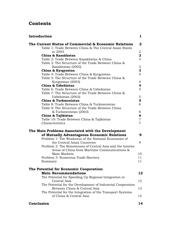## **Contents**

| Introduction                                                | 1                       |
|-------------------------------------------------------------|-------------------------|
| The Current Status of Commercial & Economic Relations       | 2                       |
| Table 1: Trade Between China & The Central Asian States     |                         |
| in 2003                                                     | 2                       |
| China & Kazakhstan                                          | $\overline{\mathbf{2}}$ |
| Table 2: Trade Between Kazakhstan & China                   | 3                       |
| Table 3: The Structure of the Trade Between China &         |                         |
| Kazakhstan (2003)                                           | 3                       |
| China & Kyrgyzstan                                          | 3                       |
| Table 4: Trade Between China & Kyrgyzstan                   | 4                       |
| Table 5: The Structure of the Trade Between China &         |                         |
| Kyrgyzstan (2003)                                           | $\overline{4}$          |
| China & Uzbekistan                                          | 4                       |
| Table 6: Trade Between China & Uzbekistan                   | 5                       |
| Table 7: The Structure of the Trade Between China &         |                         |
| Uzbekistan (2003)                                           | 5                       |
| China & Turkmenistan                                        | 5                       |
| Table 8: Trade Between China & Turkmenistan                 | 6                       |
| Table 9: The Structure of the Trade Between China           |                         |
| & Turkmenistan (2003)                                       | 6                       |
| China & Tajikistan                                          | 6                       |
| Table 10: Trade Between China & Tajikistan                  | 7                       |
| Characteristics                                             | 7                       |
| The Main Problems Associated with the Development           |                         |
| of Mutually Advantageous Economic Relations                 | 9                       |
| Problem 1: The Weakness of the National Economies of        |                         |
| the Central Asian Countries                                 | 9                       |
| Problem 2: The Remoteness of Central Asia and the Interior  |                         |
| Areas of China from Maritime Communications &               |                         |
| Main Markets                                                | 10                      |
| Problem 3: Numerous Trade Barriers                          | 11                      |
| Summary                                                     | 11                      |
|                                                             |                         |
| The Potential for Economic Cooperation:                     |                         |
| <b>Main Recommendations</b>                                 | 12                      |
| The Potential for Speeding Up Regional Integration in       |                         |
| Central Asia                                                | 12                      |
| The Potential for the Development of Industrial Cooperation |                         |
| Between China & Central Asia                                | 13                      |
| The Potential for the Integration of the Transport Systems  |                         |
| of China & Central Asia                                     | 14                      |
|                                                             |                         |
| Conclusion                                                  | 14                      |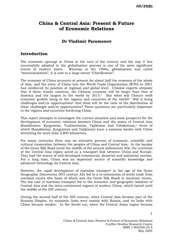## **China & Central Asia: Present & Future of Economic Relations**

#### **Dr Vladimir Paramonov**

#### **Introduction**

The economic upsurge in China at the turn of the century and the way it has successfully adapted to the globalisation process is one of the most significant events of modern times. Whereas in the 1990s, globalisation was called "Americanisation", it is now to a large extent "Chinification".

The economy of China accounts at present for about half the economy of the whole of Asia, and the entry of China into the World Trade Organisation (WTO) in 2001 has reinforced its position at regional and global level. Chinese experts estimate that if these trends continue, the Chinese economy will be larger than that of America and the largest in the world by  $2015<sup>1</sup>$  But what will China's swift economic growth bring to the regions and countries of the world? Will it bring challenges and/or opportunities? And what will be the ratio of the distribution of these challenges and/or opportunities? These questions are particularly important to the regions and countries bordering China.

This report attempts to investigate the current situation and main prospects for the development of economic relations between China and the states of Central Asia (Kazakhstan, Kyrgyzstan, Turkmenistan, Tajikistan and Uzbekistan),2 three of which (Kazakhstan, Kyrgyzstan and Tajikistan) have a common border with China stretching for more than 2,800 kilometres.

For many centuries there was an intensive process of economic, scientific and cultural cooperation between the peoples of China and Central Asia. In the heyday of the Great Silk Road (until the middle of the second millennium AD), the countries of the Central Asia region acted as a transport link between China and Europe. They had the status of well-developed commercial, financial and industrial centres. For a long time, China was an important source of scientific knowledge and advanced technology for Central Asia.

However, the rapid development of maritime transport in the age of the Great Geographic Discoveries (XVI century AD) led to a re-orientation of world trade from overland routes (the basis of which was the Great Silk Road) to maritime routes. The low cost of maritime transport led to the economic and geographic isolation of Central Asia and the intra-continental regions of modern China, which lasted until the middle of the XIX century.

During the second half of the XIX century, when Central Asia became part of the Russian Empire, its economic links were mainly with Russia, and its links with China became weaker. In the Soviet era, when the Central Asian region became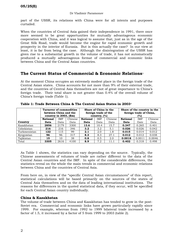part of the USSR, its relations with China were for all intents and purposes curtailed.

When the countries of Central Asia gained their independence in 1991, there once more seemed to be great opportunities for mutually advantageous economic cooperation with China, and it was logical to assume that, just as in the age of the Great Silk Road, trade would become the engine for rapid economic growth and prosperity in the interior of Eurasia. But is this actually the case? In our view at least, it is far from being the case. Although the disintegration of the USSR has given rise to a substantial growth in the volume of trade, it has not automatically produced a mutually advantageous format of commercial and economic links between China and the Central Asian countries.

#### **The Current Status of Commercial & Economic Relations**<sup>3</sup>

At the moment China occupies an extremely modest place in the foreign trade of the Central Asian states. China accounts for not more than 9% of their external trade, and the countries of Central Asia themselves are not of great importance to China's foreign trade. Their total share is not greater than 0.4% of the overall volume of China's foreign trade (Table 1).

|              | <b>Turnover of commodities</b><br>between China and the<br>country in $2003$ , $(\$m)$ |      |      | Share of China in the                                       | foreign trade of the |      | Share of the country in the<br>foreign trade of China,<br>(%) |        |        |  |
|--------------|----------------------------------------------------------------------------------------|------|------|-------------------------------------------------------------|----------------------|------|---------------------------------------------------------------|--------|--------|--|
|              | Chinese<br><b>IMF</b><br><b>National</b>                                               |      |      | country, $(\%)$<br>Chinese<br><b>National</b><br><b>IMF</b> |                      |      | Chinese<br><b>National</b><br><b>IMF</b>                      |        |        |  |
| Country      | Data                                                                                   | Data | Data | Data                                                        | Data                 | Data | Data                                                          | Date   | Data   |  |
| Kazakhstan   | 2856                                                                                   | 2179 | 3300 | 13.6                                                        | 10.4                 | 15.7 | 0.347                                                         | 0.265  | 0.401  |  |
| Uzbekistan   | 216                                                                                    | 216  | 346  | 3.2                                                         | 3.2                  | 5.1  | 0.026                                                         | 0.026  | 0.042  |  |
| Turkmenistan | 122                                                                                    | 115  | 99   | 2.1                                                         | 2.0                  | 1.8  | 0.015                                                         | 0.014  | 0.012  |  |
| Kyrgyzstan   | 96                                                                                     | 96   | 317  | 8.3                                                         | 8.3                  | 27.1 | 0.012                                                         | 0.012  | 0.038  |  |
| Tajikistan   | 15                                                                                     | 10   | 38   | 0.8                                                         | 0.5                  | 2.0  | 0.0018                                                        | 0.0011 | 0.0046 |  |
| Total        | 3305                                                                                   | 2616 | 4100 | 8.9                                                         | 7.2                  | 11.1 | 0.402                                                         | 0.318  | 0.498  |  |

|  |  | Table 1: Trade Between China & The Central Asian States in 2003 <sup>4</sup> |
|--|--|------------------------------------------------------------------------------|
|--|--|------------------------------------------------------------------------------|

As Table 1 shows, the statistics can vary depending on the source. Typically, the Chinese assessments of volumes of trade are rather different to the data of the Central Asian countries and the IMF. In spite of the considerable differences, the statistics reveal on the whole the main trends in commercial and economic relations between China and the countries of Central Asia.

From here on, in view of the "specific Central Asian circumstances" of this report, statistical calculations will be based primarily on the sources of the states of Central Asia themselves and on the data of leading international institutions. The reasons for differences in the quoted statistical data, if they occur, will be specified for each Central Asian country individually.

#### **China & Kazakhstan**

The volume of trade between China and Kazakhstan has tended to grow in the post-Soviet era. Commercial and economic links have grown particularly rapidly since 1999. For example, whereas from 1992 to 1999 bilateral trade increased by a factor of 1.5, it increased by a factor of 5 from 1999 to 2003 (table 2).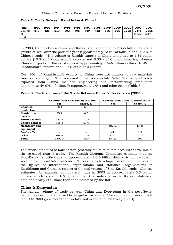| Table 2: Trade Between Kazakhstan & China <sup>5</sup> |  |
|--------------------------------------------------------|--|
|--------------------------------------------------------|--|

| $(\$m)$               | 1992 | 1993 | 1994 | 1995 l | 1996 | 1997 | 1998 | 1999 | 2000 | 2001 | 2002           | 2003           |
|-----------------------|------|------|------|--------|------|------|------|------|------|------|----------------|----------------|
| Volume<br>of<br>trade | 373  | 428  | 219  | 392    | 495  | 489  | 432  | 556  | 825  | 1253 | 2478<br>(1337) | 2856<br>(2179) |
|                       |      |      |      |        |      |      |      |      |      |      |                |                |

In 2003, trade between China and Kazakhstan amounted to 2.856 billion dollars, a growth of 13% over the previous year (approximately 13.6% of Kazakh and 0.35% of Chinese trade). The volume of Kazakh exports to China amounted to 1.31 billion dollars (10.3% of Kazakhstan's exports and 0.33% of China's imports), whereas Chinese exports to Kazakhstan were approximately 1.546 billion dollars (18.4% of Kazakhstan's imports and 0.35% of China's exports).

Over 80% of Kazakhstan's exports to China were attributable to raw materials (sources of energy 58%, ferrous and non-ferrous metals 24%). The range of goods exported from China included engineering and metalworking production (approximately 69%), foodstuffs (approximately 9%) and other goods (Table 3).

|                       | <b>Exports from Kazakhstan to China</b> |          | <b>Exports from China to Kazakhstan</b> |          |  |  |  |
|-----------------------|-----------------------------------------|----------|-----------------------------------------|----------|--|--|--|
|                       | \$m                                     | Share, % | $\mathbf{\$m}$                          | Share, % |  |  |  |
| Chemical              | 68.1                                    | 5.2      |                                         |          |  |  |  |
| production            |                                         |          |                                         |          |  |  |  |
| <b>Non-ferrous</b>    | 85.1                                    | 6.5      |                                         |          |  |  |  |
| metals                |                                         |          |                                         |          |  |  |  |
| <b>Ferrous metals</b> | 229.3                                   | 17.5     | ۰                                       |          |  |  |  |
| <b>Energy sources</b> | 758.4                                   | 57.9     |                                         |          |  |  |  |
| <b>Machinery</b> and  |                                         |          | 1071.2                                  | 68.8     |  |  |  |
| equipment             |                                         |          |                                         |          |  |  |  |
| <b>Foodstuffs</b>     |                                         |          | 141.1                                   | 8.9      |  |  |  |
| <b>Other</b>          | 168.9                                   | 12.9     | 334.1                                   | 22.3     |  |  |  |
| <b>Total</b>          | 1309.8                                  | 100      | 1546.4                                  | 100      |  |  |  |

|  |  |  |  |  |  |  |  |  | Table 3: The Structure of the Trade Between China & Kazakhstan (2003) $^6$ |  |  |
|--|--|--|--|--|--|--|--|--|----------------------------------------------------------------------------|--|--|
|--|--|--|--|--|--|--|--|--|----------------------------------------------------------------------------|--|--|

The official statistics of Kazakhstan generally fail to take into account the volume of the so-called shuttle trade. The Kazakh Customs Committee estimate that the Sino-Kazakh shuttle trade, at approximately 2-3.5 billion dollars, is comparable in scale to the official bilateral trade.<sup>7</sup> This explains to a large extent the differences in the figures of international organisations and statistical organisations in Kazakhstan and China in respect of the real volume of Sino-Kazakh trade. Chinese estimates, for example, put bilateral trade in 2003 at approximately 3.3 billion dollars, which is about 16% greater than that indicated in the Kazakh statistical data and nearly 50% more than that indicated by the IMF.

#### **China & Kyrgyzstan**

The annual volume of trade between China and Kyrgyzstan in the post-Soviet period has been characterised by irregular variations. The volume of bilateral trade for 1992-2003 grew more than twofold, but is still at a low level (Table 4).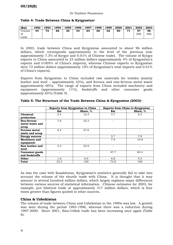|  |  |  |  |  |  | Table 4: Trade Between China & Kyrgyzstan <sup>8</sup> |
|--|--|--|--|--|--|--------------------------------------------------------|
|--|--|--|--|--|--|--------------------------------------------------------|

| $(\$m)$               | 1992 | 1993 | 1994 | 1995 | 1996 | 1997 | 1998 | 1999 | 2000 | 2001 | 2002       | 2003       |
|-----------------------|------|------|------|------|------|------|------|------|------|------|------------|------------|
| Volume<br>of<br>trade | 44   | 72   | 66   | 30   | 43   | 64   | 60   | 62   | 80   | 71   | 97<br>(98) | 96<br>(96) |
|                       |      |      |      |      |      |      |      |      |      |      |            |            |

In 2003, trade between China and Kyrgyzstan amounted to about 96 million dollars, which corresponds approximately to the level of the previous year (approximately 7.3% of Kyrgyz and 0.01% of Chinese trade). The volume of Kyrgyz exports to China amounted to 23 million dollars (approximately 4% of Kyrgyzstan's exports and 0.005% of China's imports), whereas Chinese exports to Kyrgyzstan were 72 million dollars (approximately 10% of Kyrgyzstan's total imports and 0.01% of China's exports).

Exports from Kyrgyzstan to China included raw materials for textiles (mainly leather and wool – approximately 23%), and ferrous and non-ferrous metal waste (approximately 60%). The range of exports from China included machinery and equipment (approximately 11%), foodstuffs and other consumer goods (approximately 65%) (Table 5).

|                       |      | Exports from Kyrgyzstan to China | <b>Exports from China to Kyrgyzstan</b> |          |  |  |  |
|-----------------------|------|----------------------------------|-----------------------------------------|----------|--|--|--|
|                       | \$m  | Share, %                         | \$m                                     | Share, % |  |  |  |
| Chemical              | 2.4  | 10.4                             | 4.7                                     | 6.5      |  |  |  |
| production            |      |                                  |                                         |          |  |  |  |
| <b>Non-ferrous</b>    | 7.6  | 32.2                             |                                         |          |  |  |  |
| metal waste and       |      |                                  |                                         |          |  |  |  |
| scrap                 |      |                                  |                                         |          |  |  |  |
| <b>Ferrous metal</b>  | 6.4  | 27.6                             |                                         |          |  |  |  |
| waste and scrap       |      |                                  |                                         |          |  |  |  |
| <b>Energy sources</b> |      |                                  | 5.7                                     | 7.9      |  |  |  |
| <b>Machinery and</b>  |      |                                  | 7.9                                     | 10.9     |  |  |  |
| equipment             |      |                                  |                                         |          |  |  |  |
| Raw leather and       | 5.3  | 22.9                             |                                         |          |  |  |  |
| wool                  |      |                                  |                                         |          |  |  |  |
| Consumer goods        |      |                                  | 47.7                                    | 65.4     |  |  |  |
| and foodstuffs        |      |                                  |                                         |          |  |  |  |
| Other                 | 1.6  | 6.9                              | 6.8                                     | 9.3      |  |  |  |
| Total                 | 23.3 | 100                              | 72.8                                    | 100      |  |  |  |

|  |  |  |  |  |  |  |  | Table 5: The Structure of the Trade Between China & Kyrgyzstan (2003) <sup>9</sup> |  |  |
|--|--|--|--|--|--|--|--|------------------------------------------------------------------------------------|--|--|
|--|--|--|--|--|--|--|--|------------------------------------------------------------------------------------|--|--|

As was the case with Kazakhstan, Kyrgyzstan's statistics generally fail to take into account the volume of the shuttle trade with China. It is thought that it may amount to several hundred million dollars, which largely explains major differences between various sources of statistical information. Chinese estimates for 2003, for example, put bilateral trade at approximately 317 million dollars, which is four times greater than figures quoted in other sources.

#### **China & Uzbekistan**

The volume of trade between China and Uzbekistan in the 1990s was low. A growth was seen during the period 1992-1996, whereas there was a reduction during 1997-2000. Since 2001, Sino-Uzbek trade has been increasing once again (Table 6).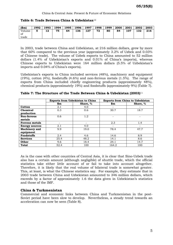| Table 6: Trade Between China & Uzbekistan <sup>10</sup> |
|---------------------------------------------------------|
|---------------------------------------------------------|

| $(\$m)$               | 1992 | 1993 | 1994 | 1995 | 1996 | 1997 | 1998 | 1999 | 2000 | 2001 | 2002 | 2003 |
|-----------------------|------|------|------|------|------|------|------|------|------|------|------|------|
| Volume<br>of<br>trade | G    | 12   | 75   | 64   | 136  | 127  | 72   | 80   | 84   | 107  | 132  | 216  |
|                       |      |      |      |      |      |      |      |      |      |      |      |      |

In 2003, trade between China and Uzbekistan, at 216 million dollars, grew by more that 60% compared to the previous year (approximately 3.2% of Uzbek and 0.03% of Chinese trade). The volume of Uzbek exports to China amounted to 52 million dollars (1.4% of Uzbekistan's exports and 0.01% of China's imports), whereas Chinese exports to Uzbekistan were 164 million dollars (5.5% of Uzbekistan's imports and 0.04% of China's exports).

Uzbekistan's exports to China included services (48%), machinery and equipment (19%), cotton (4%), foodstuffs (4.6%) and non-ferrous metals (1.5%). The range of exports from China included chiefly engineering products (approximately 48%), chemical products (approximately 19%) and foodstuffs (approximately 9%) (Table 7).

|                       | <b>Exports from Uzbekistan to China</b> |          |       | <b>Exports from China to Uzbekistan</b> |
|-----------------------|-----------------------------------------|----------|-------|-----------------------------------------|
|                       | \$m                                     | Share, % | \$m\$ | Share, %                                |
| Cotton                | 2.1                                     | 4.0      |       |                                         |
| Chemical              | 0.3                                     | 0.6      | 30.7  | 18.7                                    |
| production            |                                         |          |       |                                         |
| <b>Non-ferrous</b>    | 0.6                                     | 1.2      |       |                                         |
| metals                |                                         |          |       |                                         |
| <b>Ferrous metals</b> |                                         |          | 2.3   | 1.4                                     |
| <b>Energy sources</b> | 2.1                                     | 4.0      | -     |                                         |
| Machinery and         | 9.9                                     | 19.0     | 78.4  | 47.7                                    |
| equipment             |                                         |          |       |                                         |
| <b>Foodstuffs</b>     | 2.4                                     | 4.6      | 14.6  | 8.9                                     |
| <b>Services</b>       | 25.4                                    | 48.2     | 14.1  | 8.6                                     |
| Other                 | 9.6                                     | 18.4     | 24.1  | 14.7                                    |
| <b>Total</b>          | 52.4                                    | 100      | 164.2 | 100                                     |

|  |  |  |  |  |  |  |  | Table 7: The Structure of the Trade Between China & Uzbekistan (2003) <sup>11</sup> |  |  |
|--|--|--|--|--|--|--|--|-------------------------------------------------------------------------------------|--|--|
|--|--|--|--|--|--|--|--|-------------------------------------------------------------------------------------|--|--|

As is the case with other countries of Central Asia, it is clear that Sino-Uzbek trade also has a certain amount (although negligible) of shuttle trade, which the official statistics take either little account of or fail to take into account altogether. Therefore, it is likely that the real volume of bilateral trade is somewhat greater. This, at least, is what the Chinese statistics say. For example, they estimate that in 2003 trade between China and Uzbekistan amounted to 346 million dollars, which exceeds by a factor of approximately 1.6 the data given in Uzbekistan's statistics and those of the IMF.

#### **China & Turkmenistan**

Commercial and economic links between China and Turkmenistan in the post-Soviet period have been slow to develop. Nevertheless, a steady trend towards an acceleration can now be seen (Table 8).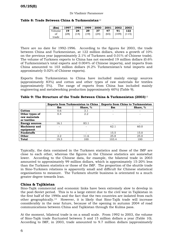#### **05/25(E)**

#### **Table 8: Trade Between China & Turkmenistan**<sup>12</sup>

| (Sm)                  | 1997       | 1998       | 1999       | 2000       | 2001       | 2002        | 2003        |
|-----------------------|------------|------------|------------|------------|------------|-------------|-------------|
| Volume<br>Οİ<br>trade | 19<br>(28) | 24<br>(14) | 29<br>(19) | 37<br>(24) | 47<br>(65) | 91<br>[109] | 122<br>.15) |

There are no date for 1992-1996. According to the figures for 2003, the trade between China and Turkmenistan, at 122 million dollars, shows a growth of 10% on the previous year (approximately 2.1% of Turkmen and 0.01% of Chinese trade). The volume of Turkmen exports to China has not exceeded 19 million dollars (0.6% of Turkmenistan's total exports and 0.004% of Chinese imports), and imports from China amounted to 103 million dollars (4.2% Turkmenistan's total imports and approximately 0.02% of Chinese exports).

Exports from Turkmenistan to China have included mainly energy sources (approximately 83%) and cotton and other types of raw materials for textiles (approximately 5%). The range of exports from China has included mainly engineering and metalworking production (approximately 60%) (Table 9).

|                       | <b>Exports from Turkmenistan to China</b> |          |                | <b>Exports from China to Turkmenistan</b> |
|-----------------------|-------------------------------------------|----------|----------------|-------------------------------------------|
|                       | \$m                                       | Share, % | $\mathbf{\$m}$ | Share, %                                  |
| Cotton                | 0.6                                       | 3.1      | ۰              | -                                         |
| Other types of        | 0.4                                       | 2.2      |                |                                           |
| raw materials         |                                           |          |                |                                           |
| or textiles           |                                           |          |                |                                           |
| <b>Energy sources</b> | 16.1                                      | 83.1     |                |                                           |
| Machinery and         |                                           |          | 62.1           | 60.0                                      |
| equipment             |                                           |          |                |                                           |
| <b>Foodstuffs</b>     |                                           |          | 15.5           | 15.0                                      |
| Other                 | 2.2                                       | 11.6     | 25.8           | 25.0                                      |
| <b>Total</b>          | 19.3                                      | 100      | 103.4          | 100                                       |

**Table 9: The Structure of the Trade Between China & Turkmenistan (2003)**<sup>13</sup>

Typically, the data contained in the Turkmen statistics and those of the IMF are close to each other, whereas the figures in the Chinese statistics are somewhat lower. According to the Chinese data, for example, the bilateral trade in 2003 amounted to approximately 99 million dollars, which is approximately 15-20% less than the Turkmen statistics or those of the IMF. The proportion of the shuttle trade in Sino-Turkmen relations is apparently small and difficult for Chinese statistical organisations to measure. The Turkmen shuttle business is orientated to a much greater degree towards Iran.

#### **China & Tajikistan**

Sino-Tajik commercial and economic links have been extremely slow to develop in the post-Soviet period. This is to a large extent due to the civil war in Tajikistan in the first half of the 1990s and the fact that the two countries are isolated from each other geographically.14 However, it is likely that Sino-Tajik trade will increase considerably in the near future, because of the opening in autumn 2004 of road communications between China and Tajikistan through the Kulma pass.

At the moment, bilateral trade is on a small scale. From 1992 to 2003, the volume of Sino-Tajik trade fluctuated between 5 and 15 million dollars a year (Table 10). According to IMF, in 2003, trade amounted to 9.7 million dollars (approximately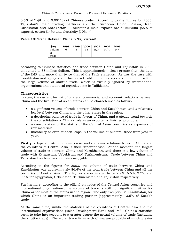#### China & Central Asia: Present & Future of Economic Relations

0.5% of Tajik and 0.0011% of Chinese trade). According to the figures for 2003, Tajikistan's main trading partners are the European Union, Russia, Iran, Uzbekistan and Kazakhstan. Tajikistan's main exports are aluminium (55% of exports), cotton  $(14\%)$  and electricity  $(10\%)$ .<sup>15</sup>

#### **Table 10: Trade Between China & Tajikistan**<sup>16</sup>

| $(\$m)$ | 1998 | 1999 | 2000 | $\mid$ 2001 $\mid$ 2002 $\mid$ 2003 |     |     |
|---------|------|------|------|-------------------------------------|-----|-----|
| Volume  |      | 5    | 15   | N/A                                 | N/A | 9.7 |
| of      |      |      |      |                                     |     |     |
| trade   |      |      |      |                                     |     |     |

According to Chinese statistics, the trade between China and Tajikistan in 2003 amounted to 38 million dollars. This is approximately 4 times greater than the data of the IMF and more than twice that of the Tajik statistics. As was the case with Kazakhstan and Kyrgyzstan, this considerable difference appears to be the result of the large volume of shuttle trade, which is virtually ignored by international organisations and statistical organisations in Tajikistan.

#### **Characteristics**

In sum, the current format of bilateral commercial and economic relations between China and the five Central Asian states can be characterised as follows:

- a significant volume of trade between China and Kazakhstan, and a relatively low level between China and the other states in the region;
- a developing balance of trade in favour of China, and a steady trend towards the consolidation of China's role as an exporter of finished products;
- a consolidation of the status of the Central Asian countries as exporters of raw materials;
- instability or even sudden leaps in the volume of bilateral trade from year to year.

**Firstly**, a typical feature of commercial and economic relations between China and the countries of Central Asia is their "unevenness". At the moment, the largest volume of trade is between China and Kazakhstan, and there is a low volume of trade with Kyrgyzstan, Uzbekistan and Turkmenistan. Trade between China and Tajikistan has been and remains negligible.

According to the figures for 2003, the volume of trade between China and Kazakhstan was approximately 86.4% of the total trade between China and all the countries of Central Asia. The figures are estimated to be 2.9%, 6.6%, 3.7% and 0.4% for Kyrgyzstan, Uzbekistan, Turkmenistan and Tajikistan respectively.

Furthermore, according to the official statistics of the Central Asian countries and international organisations, the volume of trade is still not significant either for China or for most of the states in the region. The only exception is Kazakhstan, for which China is an important trading partner (approximately 13.6% of Kazakh trade).

At the same time, unlike the statistics of the countries of Central Asia and the international organisations (Asian Development Bank and IMF), China's statistics seem to take into account to a greater degree the actual volume of trade (including the shuttle trade). Therefore, trade links with China are probably of much greater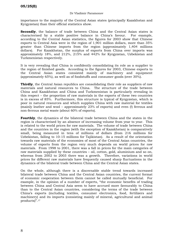#### Dr Vladimir Paramonov

importance to the majority of the Central Asian states (principally Kazakhstan and Kyrgyzstan) than their official statistics show.

**Secondly**, the balance of trade between China and the Central Asian states is characterised by a stable positive balance in China's favour. For example, according to the Central Asian statistics, the figures for 2003 show that Chinese exports to Central Asia were in the region of 1,901 million dollars, more than 35% greater than Chinese imports from the region (approximately 1,404 millions dollars). For Kazakhstan, the surplus of exports from China over imports was approximately 18%, and 212%, 215% and 442% for Kyrgyzstan, Uzbekistan and Turkmenistan respectively.

It is very revealing that China is confidently consolidating its role as a supplier to the region of finished goods. According to the figures for 2003, Chinese exports to the Central Asian states consisted mainly of machinery and equipment (approximately 65%), as well as of foodstuffs and consumer goods (over 30%).

**Thirdly**, the Central Asian republics are consolidating their role as suppliers of raw materials and natural resources to China. The structure of the trade between China and Kazakhstan and China and Turkmenistan is particularly revealing in this respect – the proportion of raw materials in the exports of these two countries is in excess of 85%. Furthermore, this structure is typical of Kyrgyzstan, which is poor in natural resources and which supplies China with raw material for textiles (mainly leather and wool – approximately 23% of exports) and even (!) ferrous and non-ferrous metal waste (about 60% of exports).

**Fourthly**, the dynamics of the bilateral trade between China and the states in the region is characterised by an absence of increasing volume from year to year. This is related to the world prices for raw materials. The volume of trade between China and the countries in the region (with the exception of Kazakhstan) is comparatively small, being measured in tens of millions of dollars (from 216 millions for Uzbekistan, falling to 10-15 millions for Tajikistan). As a result of the orientation towards raw materials of the economies of most of the Central Asian countries, the volume of exports from the region very much depends on world prices for raw materials. From 1998 to 2001, there was a fall in prices for the main categories of raw materials supplied by these countries – oil, cotton, gold, aluminium and so on, whereas from 2002 to 2003 there was a growth. Therefore, variations in world prices for different raw materials have frequently caused sharp fluctuations in the dynamics of the bilateral trade between China and the Central Asian states.

On the whole, although there is a discernable stable trend towards increased bilateral trade between China and the Central Asian countries, the current format of economic cooperation between them cannot be called mutually beneficial. For example, in the opinion of a number of experts, "the economic benefits of trading between China and Central Asia seem to have accrued more favourably to China than to the Central Asian countries, considering the terms of the trade between China's exports (including textiles, consumer electronics, food, fertilizers and machinery) and its imports (consisting mainly of mineral, agricultural and animal products)".17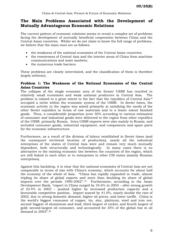#### **The Main Problems Associated with the Development of Mutually Advantageous Economic Relations**

The current pattern of economic relations seems to reveal a complex set of problems facing the development of mutually beneficial cooperation between China and the Central Asian countries. Whilst we do not claim to know the full range of problems, we believe that the main ones are as follows:

- the weakness of the national economies of the Central Asian countries;
- the remoteness of Central Asia and the interior areas of China from maritime communications and main markets;
- the numerous trade barriers.

These problems are closely interrelated, and the classification of them is therefore largely arbitrary.

#### **Problem 1: The Weakness of the National Economies of the Central Asian Countries**

The collapse of the single economic area of the former USSR has resulted in relatively small economies and weak national producers in Central Asia. The problem is related to a great extent to the fact that the republics of Central Asia18 occupied a niche within the economic system of the USSR. In Soviet times, the economic activity in the region was aimed primarily at satisfying the needs of the other Soviet republics in terms of raw materials and to a lesser extent finished goods. Thus, a considerable proportion (over 50% according to various estimates) of consumer and industrial goods were delivered to the region from other republics of the USSR, primarily Russia. Intra-USSR imports were also mainly to Russia, and included consumer goods, industrial equipment, and components and spare parts for the economic infrastructure.

Furthermore, as a result of the division of labour established in Soviet times (and the consequent territorial location of production), nearly all the industrial enterprises of the states of Central Asia were and remain very much mutually dependent, both structurally and technologically. In many cases there is no alternative to the existing economic ties between the countries of the region, which are still linked to each other or to enterprises in other CIS states (mainly Russian enterprises).

Against this backdrop, it is clear that the national economies of Central Asia are not comparable in terms of size with China's economy, which accounts for about half the economy of the whole of Asia. "China has rapidly expanded in trade, almost tripling its share of global exports and more than doubling its share of global imports over the periods 1990-2002".19 Furthermore, according to the Asian Development Bank, "export in China surged by 34.6% in 2003 – after strong growth of 22.4% in 2002 – pushed higher by increased production capacity and a favourable competitive position. Import soared by 41.0%, nearly double the rate of 2002, due to strong domestic demand, higher oil prices, and lower tariffs. China is the world's biggest consumer of copper, tin, zinc, platinum, steel and iron ore; second biggest of aluminium and lead; third largest of nickel; and fourth largest of gold; second-largest oil consumer, and accounted for 35% of the global rise in oil demand in 2003".20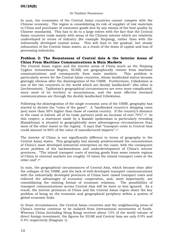In sum, the economies of the Central Asian countries cannot compete with the Chinese economy. The region is consolidating its role of supplier of raw materials to China and purchaser of consumer goods (not by any means of the best quality by Chinese standards). This has to do to a large extent with the fact that the Central Asian countries trade mainly with areas of the Chinese interior which are relatively undeveloped in terms of industry (for example Xinjiang), rather than with the industrially developed coastal areas. This will lead to the gradual, but steady exhaustion of the Central Asian states, as a result of the drain of capital and loss of processing industries.

#### **Problem 2: The Remoteness of Central Asia & the Interior Areas of China From Maritime Communications & Main Markets**

The Central Asian region and the interior areas of China (such as the Xinjiang Uyghur Autonomous Region, XUAR) are geographically remote from maritime communications and consequently from main markets. This problem is particularly severe for the Central Asian countries, whose landlocked status became glaringly obvious after the disintegration of the USSR. Furthermore, Uzbekistan is one of the two countries in the world which are doubly landlocked $21$  (the other is Liechtenstein). Tajikistan's geographical circumstances are even more complicated, since most of its territory is mountainous, and the most effective overland communications are through the doubly landlocked Uzbekistan.

Following the disintegration of the single economic area of the USSR, geography has started to dictate the "rules of the game". A "landlocked country's shipping costs [are] more than 50% higher than those of coastal country. If the country's distance to the coast is halved, all of its trade partners yield an increase of over 70%".22 In this respect, a statement made by a Kazakh spokesman is particularly revealing (Kazakhstan is situated in geographically more advantageous circumstances than most of the other states in the region). It says that "transport costs in Central Asia could amount to 60% of the value of manufactured imports".23

The interior of China is not significantly different in terms of geography to the Central Asian states. This geography has already predetermined the concentration of China's most developed industrial enterprises on the coast, with the consequent acute problem of the backwardness and underdevelopment of China's interior provinces. "The inland transport costs of moving goods from some remote regions of China to external markets are roughly 10 times the inland transport costs at the other end".24

In sum, the geographical circumstances of Central Asia, which became clear after the collapse of the USSR, and the lack of well-developed transport communications with the industrially developed provinces of China have raised transport costs and reduced the advantages of economic cooperation, and, most importantly, are consolidating the existing format of economic relations. The possibilities of transport communications across Central Asia will be more or less ignored. As a result, the interior provinces of China and the Central Asian region share the key problem of being on the economic and geographical periphery within a system of global economic links.

In these circumstances, the Central Asian countries and the neighbouring areas of China's interior continue to be isolated from international movements of funds. Whereas China (including Hong Kong) receives about 12% of the world volume of direct foreign investment, the figures for XUAR and Central Asia are only 0.9% and 0.4% respectively (Diagram 1).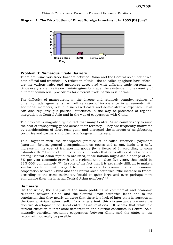**Diagram 1: The Distribution of Direct Foreign Investment in 2003 (US\$bn)**<sup>25</sup>



#### **Problem 3: Numerous Trade Barriers**

There are numerous trade barriers between China and the Central Asian countries, both official and unofficial. A reflection of this - the so-called spaghetti bowl effect – are the various rules and measures associated with different trade agreements. Since every state has its own mini-regime for trade, the existence in one country of different commercial procedures for different trade partners is normal.

The difficulty of manoeuvring in the diverse and relatively complex regimes of differing trade agreements, as well as cases of incoherence in agreements with additional members, result in increased costs and administrative expenses. This can also regularly put political difficulties in the way of processes of regional integration in Central Asia and in the way of cooperation with China.

The problem is magnified by the fact that many Central Asian countries try to raise the cost of transporting goods across their territory. They are frequently motivated by considerations of short-term gain, and disregard the interests of neighbouring countries and partners and their own long-term interests.

This, together with the widespread practice of so-called unofficial payments (extortion, bribes, general disorganisation on routes and so on), leads to a hefty increase in the cost of transporting goods (by a factor of 3, according to some estimates).26 "If some of the restrictions (in trade) that currently exist between and among Central Asian republics are lifted, these nations might see a change of 3%- 5% per year economic growth as a regional unit. Over five years, that could be 33%-50% cumulatively."27 In spite of the fact that it is extremely difficult to make a similar prediction with regard to the prospects for commercial and economic cooperation between China and the Central Asian countries, "the increase in trade", according to the same estimates, "could be quite large and even perhaps more stimulative than the internal Central Asian numbers".28

#### **Summary**

On the whole, the analysis of the main problems in commercial and economic relations between China and the Central Asian countries leads one to the conclusion that they nearly all agree that there is a lack of inter-state integration in the Central Asian region itself. To a large extent, this circumstance prevents the effective development of Sino-Central Asian relations. It seems that while the current situation of inter-state demarcation and distrust continues in Central Asia, mutually beneficial economic cooperation between China and the states in the region will not really be possible.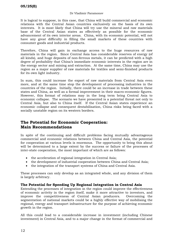#### Dr Vladimir Paramonov

It is logical to suppose, in this case, that China will build commercial and economic relations with the Central Asian countries exclusively on the basis of its own interests. It is most likely that China will try use the mineral and raw materials base of the Central Asian states as effectively as possible for the economic advancement of its own interior areas. China, with its economic potential, will not have any great difficulty in filling the small markets of these countries with consumer goods and industrial products.

Therefore, China will gain in exchange access to the huge resources of raw materials in the region. Since Central Asia has considerable reserves of energy (of all kinds), and huge deposits of non-ferrous metals, it can be predicted with a high degree of probability that China's immediate economic interests in the region are in the energy sector and mining and extraction. At the same time, China may use the region as a major supplier of raw materials for textiles and semi-finished products for its own light industry.

In sum, this could increase the export of raw materials from Central Asia even more, and at the same time stop the development of processing industries in the countries of the region. Initially, there could be an increase in trade between these states and China, as well as a formal improvement in their macro-economic figures. However, this format of relations may in the long term bring Central Asia to economic collapse. The scenario we have presented is a potential threat not only to Central Asia, but also to China itself. If the Central Asian states experience an economic collapse and consequent destabilisation, China risks being faced with a socially unstable region on its western borders.

## **The Potential for Economic Cooperation: Main Recommendations**

In spite of the continuing and difficult problems facing mutually advantageous commercial and economic relations between China and Central Asia, the potential for cooperation at various levels is enormous. The opportunity to bring this about will be determined to a large extent by the success or failure of the processes of inter-state cooperation, the most important of which are as follows:

- the acceleration of regional integration in Central Asia;
- the development of industrial cooperation between China and Central Asia;
- the integration of the transport systems of China and Central Asia.

These processes can only develop as an integrated whole, and any division of them is largely arbitrary.

#### **The Potential for Speeding Up Regional Integration in Central Asia**

Extending the processes of integration in the region could improve the effectiveness of economic activity in the region itself, make it more attractive to investors, and improve the competitiveness of Central Asian producers. Overcoming the segmentation of national markets could be a highly effective way of mobilising the regional, energy and transport infrastructure for the purpose of achieving economic growth in the region.

All this could lead to a considerable increase in investment (including Chinese investment) in Central Asia, and to a major change in the format of commercial and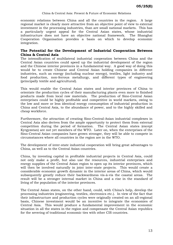China & Central Asia: Present & Future of Economic Relations

economic relations between China and all the countries in the region. A large regional market is clearly more attractive from an objective point of view to external investment in the processing industries, than are small national markets. This has a particularly urgent appeal for the Central Asian states, whose industrial infrastructure does not have an objective national framework. The Shanghai Cooperation Organisation provides a basis on which to develop economic integration.

#### **The Potential for the Development of Industrial Cooperation Between China & Central Asia**

The intensification of multilateral industrial cooperation between China and the Central Asian countries could speed up the industrial development of the region and the Chinese interior provinces in a fundamental way. A good way of doing this would be to create Chinese and Central Asian holding companies in different industries, such as energy (including nuclear energy), textiles, light industry and food production, non-ferrous metallurgy, and different types of engineering (principally textile and agricultural).

This would enable the Central Asian states and interior provinces of China to orientate the production cycles of their manufacturing plants even more to finished products made from local raw materials. The production of Sino-Central Asian enterprises could be highly profitable and competitive in world markets, owing to the low and more or less identical energy consumption of industrial production in China and Central Asia, to the abundance of power, and to the highly skilled and cheap workforce.

Furthermore, the attraction of creating Sino-Central-Asian industrial complexes in Central Asia also derives from the ample opportunity to protect them from external competition during the period of formation. The Central Asian states (except Kyrgyzstan) are not yet members of the WTO. Later on, when the enterprises of the Sino-Central Asian companies have grown stronger, they will be able to compete in circumstances where all countries in the region are in the WTO.

The development of inter-state industrial cooperation will bring great advantages to China, as well as to the Central Asian countries.

China, by investing capital in profitable industrial projects in Central Asia, could not only make a profit, but also use the resources, industrial enterprises and energy supplies of the Central Asian region to open up its interior provinces, which will then be involved naturally in joint inter-state projects. This would create a considerable economic growth dynamic in the interior areas of China, which would subsequently greatly reduce their backwardness vis-à-vis the coastal areas. The result will be a stronger internal market in China and a rise in the standard of living of the population of the interior provinces.

The Central Asian states, on the other hand, could, with China's help, develop the processing industries (engineering, textiles, electronics etc.). In view of the fact that their infrastructure and production cycles were originally created on an all-regional basis, Chinese investment would be an incentive to integrate the economies of Central Asia. This would produce a fundamental improvement in the economic situation in all the states in the region and compensate the Central Asian republics for the severing of traditional economic ties with other CIS countries.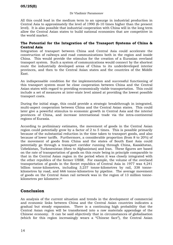All this could lead in the medium term to an upsurge in industrial production in Central Asia to approximately the level of 1990 (6-10 times higher than the present level). It is also possible that industrial cooperation with China will in the long term allow the Central Asian states to build national economies that are competitive in the world market.

#### **The Potential for the Integration of the Transport Systems of China & Central Asia**

Integration of transport between China and Central Asia could accelerate the construction of railways and road communications both in the region and inside China. This would provide the stimulus for the creation of a Eurasian overland transport system. Such a system of communications would connect by the shortest route the industrially developed areas of China to its underdeveloped interior provinces, and then to the Central Asian states and the countries of the Middle East.

An indispensable condition for the implementation and successful functioning of this transport system must be close cooperation between China and the Central Asian states with regard to providing economically viable transportation. This could include a set of measures at inter-state level aimed at providing the lowest possible transport costs.

During the initial stage, this could provide a strategic breakthrough in integrated, multi-aspect cooperation between China and the Central Asian states. This could later give a powerful stimulus to economic growth in Central Asia and the interior provinces of China, and increase international trade via the intra-continental regions of Eurasia.

According to preliminary estimates, the movement of goods in the Central Asian region could potentially grow by a factor of 2 to 5 times. This is possible primarily because of the substantial reduction in the time taken to transport goods, and also because of lower tariffs. Furthermore, a considerable proportion (from 8 to 20%) of the movement of goods from China and the states of South East Asia could potentially go through a transport corridor running through China, Kazakhstan, Uzbekistan, Turkmenistan (then to Afghanistan) and Iran. These figures are based on the rate of transportation of goods on this route being in principle comparable to that in the Central Asian region in the period when it was closely integrated with the other republics of the former USSR. For example, the volume of the overland transportation of goods in the Soviet republics of Central Asia in 1977 was 4,241 billion tonne-kilometres, including 3,237 tonne-kilometres by rail, 338 tonnekilometres by road, and 666 tonne-kilometres by pipeline. The average movement of goods on the Central Asian rail network was in the region of 13 million tonnekilometres per kilometre.29

## **Conclusion**

An analysis of the current situation and trends in the development of commercial and economic links between China and the Central Asian countries indicates a gradual but steady expansion. There is a continuing high probability that the Central Asian region will be transformed into a raw materials appendage of the Chinese economy. It can be said objectively that in circumstances of globalisation (which for this region increasingly wears a "Chinese face"), the Central Asian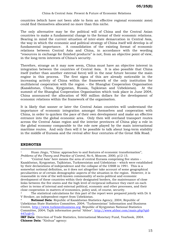countries (which have not been able to form an effective regional economic zone) could find themselves allocated no more than this niche.

The only alternative may be the political will of China and the Central Asian countries to make a fundamental change to the format of their economic relations. Bearing in mind the current situation of inter-state demarcation in Central Asia, the way in which the economic and political strategy of China itself will develop is of fundamental importance. A consolidation of the existing format of economic relations between Central Asia and China, in accordance with the wording "resources in exchange for finished products" is not, from an objective point of view, in the long-term interests of China's security.

Therefore, strange as it may now seem, China must have an objective interest in integration between the countries of Central Asia. It is also possible that China itself (rather than another external force) will in the near future become the main engine in this process. The first signs of this are already noticeable in the increasing activity of China within the framework of the only institution for multilateral cooperation with the region – the Shanghai Cooperation Organisation (Kazakhstan, China, Kyrgyzstan, Russia, Tajikistan and Uzbekistan). At the summit of the Shanghai Cooperation Organisation which took place in June 2004, China announced the allocation of 900 million dollars for the development of economic relations within the framework of the organisation.

It is likely that sooner or later the Central Asian countries will understand the importance of economic integration amongst themselves and cooperation with China, in order to quicken the pace of their own development and make an effective entrance into the global economic area. Only then will overland transport routes across the Central Asian region and the interior provinces of China play a role in the global economy comparable to the role now played by the main international maritime routes. And only then will it be possible to talk about long-term stability in the middle of Eurasia and the revival after four centuries of the Great Silk Road.

#### **ENDNOTES**

 $\overline{a}$ 

<sup>1</sup> Huan Jingu, "China: approaches to and features of economic transformation", *Problems of the Theory and Practice of Control*, No 6, Moscow, 2000, p12-15.

<sup>&</sup>quot;Central Asia" here means the area of central Eurasia comprising five states – Kazakhstan, Kyrgyzstan, Tajikistan, Turkmenistan and Uzbekistan – which were established by their declarations of independence and the collapse of the USSR in 1991. This is a somewhat notional definition, as it does not altogether take account of some geographical peculiarities or of certain demographic aspects of the situation in the region. However, it is reasonable in view of the well-known commonality of socio-political and economic development of these countries within their designated borders, the maintenance of close links between the five states and the high level of reciprocal influence they exert on each other in terms of internal and external political, economic and other processes, and their close cooperation in matters of economics, policy and, of course, security.

The statistical calculations for this part of the report were prepared jointly with Dr A V Strokov, an independent expert from Uzbekistan.

<sup>4</sup> **National Data**: Republic of Kazakhstan Statistics Agency, 2004; Republic of Uzbekistan State Statistics Committee, 2004; "Turkmenistan" Information and Business Centre, [http://www.turkmenbusiness.org;](http://www.turkmenbusiness.org) Republic of Kyrgyzstan National Statistics [Committee, 2004; Tajik information portal "Ahbor", http://www.ahbor.com/main.php?qid-](http://www.ahbor.com/main.php?qid-447cid=5)447cid=5;

**IMF Data**: Direction of Trade Statistics, International Monetary Fund, Yearbook, 2004. **Chinese Data**: "Xinhua" agency: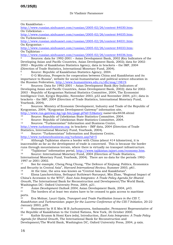**05/25(E)** 

 $\overline{a}$ 

On Kazakhstan –

<http://www.russian.xinhuanet.com/russian/2005-02/26/content>84030.htm; On Uzbekistan –

<http://www.russian.xinhuanet.com/russian/2005-02/26/content>84035.htm; On Turkmenistan –

<http://www.russian.xinhuanet.com/russian/2005-02/26/content>84031.htm; On Kyrgyzstan –

<http://www.russian.xinhuanet.com/russian/2005-02/26/content>84033.htm; On Tajikistan –

<http://www.russian.xinhuanet.com/russian/2005-02/26/content>84036.htm.<br>
5 Sources: data for 1992-2001 – Asian Development Bank, 2002 (Key Indicators of the Developing Asian and Pacific Countries, Asian Development Bank, 2002); data for 2002- 2003 – Republic of Kazakhstan Statistics Agency, data in brackets – the IMF, 2004 (Direction of Trade Statistics, International Monetary Fund, 2004).

<sup>6</sup> Source: Republic of Kazakhstan Statistics Agency, 2004.<br><sup>7</sup> O.G. Minutina, Prospects for cooperation between China a

7 O G Mirutina, Prospects for cooperation between China and Kazakhstan and its importance to Russia", website for social-humanitarian and political science education in the Russian Federation, [http://www.humanitiews.edu.ru/db/msg/19819.](http://www.humanitiews.edu.ru/db/msg/19819)<br><sup>8</sup> Sources: Data for 1992-2001 – Asian Development Bank (Key Indicators of

Developing Asian and Pacific Countries, Asian Development Bank, 2002); data for 2002- 2003 - Republic of Kyrgyzstan National Statistics Committee, 2004, The Economist Intelligence Unit, Kyrgyz Republic, November 2003, p32 and November 2004, p31; data in brackets – the IMF, 2004 (Direction of Trade Statistics, International Monetary Fund, Yearbook, 2004).

9 Sources: Ministry of Economic Development, Industry and Trade of the Republic of Kyrgyzstan, 2004; "Kyrgyzstan Development Gateway" information site,

<http://www.rus.gateway.kg/cgi-bin/page.pl?id=53&story> name=doc8438.shtml<br>10 Source: Pepublic of Uzbekiston Stote Stotistics Committee, 2004

<sup>10</sup> Source: Republic of Uzbekistan State Statistics Committee, 2004.<br><sup>11</sup> Source: Republic of Uzbekistan State Statistics Committee, 2004.

<sup>11</sup> Source: Republic of Uzbekistan State Statistics Committee, 2004.<br><sup>12</sup> Sources: "Turkmenistan" Information and Business Centre

Sources: "Turkmenistan" Information and Business Centre,

[http://www.turkmenbusiness.org;](http://www.turkmenbusiness.org) in brackets – IMF data, 2004 (Direction of Trade Statistics, International Monetary Fund, Yearbook, 2004).

13 Source: "Turkmenistan" Information and Business Centre,

<http://www.turkmenbusiness.org/turkmen.asp?id=5>

14 Although Tajikistan shares a border with China (about 414 kilometres), it is inaccessible as far as the development of trade is concerned. This is because the border runs through mountainous terrain, where there is virtually no transport infrastructure.

<sup>15</sup> "Tajikistan" information portal, <u>http://www.tajikistan.tajnet.com/economy.htm</u>.<br><sup>16</sup> Source: International Monetary Fund, 2004 (Direction of Trade Statistics,

International Monetary Fund, Yearbook, 2004). There are no data for the periods 1992- 1997 or 2001-2002.

17 See for example, Cheng Peng Chung, "The Defence of Xinjiang: Politics, Economics and Security in Central Asia", *Harvard International Review*, Summer 2003, p61.

18 At the time, the area was known as "Central Asia and Kazakhstan".<br>19 Elona Lanchovichina, Sethanut Suthiwart-Naruenut, Min Zhao, "Be

19 Elona Lanchovichina, Sethaput Suthiwart-Narueput, Min Zhao, "Regional Impact of China's Accession to the WTO", *East Asia Integrates: A Trade Policy Agenda for Shared Growth*, The International Bank for Reconstruction and Development/The World Bank, Washington DC: Oxford University Press, 2004, p21.

<sup>20</sup> *Asian Development Outlook 2004*, Asian Development Bank, 2004, p43.<br><sup>21</sup> The borders of at least two states have to be crossed to gain access to m

The borders of at least two states have to be crossed to gain access to maritime ports.

22 Eva Molnar, Lauri Ojala, *Transport and Trade Facilitation Issues in the CIS 7, Kazakhstan and Turkmenistan: paper for the Lucerne Conference of the CIS-7 Initiative*, 20-22 January 2003, p39.<br><sup>23</sup> Statement by

Statement by H E Mrs M B Jarbussynova, Ambassador, Permanent Representative of the Republic of Kazakhstan to the United Nations, New York, 26 October 2000.

24 Kathie Krumm & Homi Kars (eds), Introduction, *East Asia Integrates: A Trade Policy Agenda for Shared Growth*, The International Bank for Reconstruction and

Development/The World Bank, Washington DC, Oxford University Press, 2004, p xxix.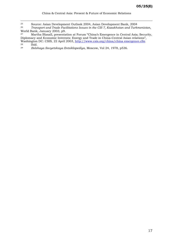$\overline{a}$ 

29 *Bolshaya Sovyetskaya Entsiklopediya*, Moscow, Vol 24, 1978, p536.

<sup>&</sup>lt;sup>25</sup> Source: Asian Development Outlook 2004, Asian Development Bank, 2004<br><sup>26</sup> Transport and Trade Facilitations Issues in the CIS 7. Kazakhstan and Turki

<sup>26</sup> *Transport and Trade Facilitations Issues in the CIS 7, Kazakhstan and Turkmenistan*, World Bank, January 2003, p9.

<sup>27</sup> Martha Blaxall, presentation at Forum "China's Emergence in Central Asia; Security, Diplomacy and Economic Interests: Energy and Trade in China-Central Asian relations", Washington DC: CSIS, 22 April 2003, <u><http://www.csis.org/china/china>emergence.cfm</u><br>28 Ibid  $\frac{28}{29}$  Ibid.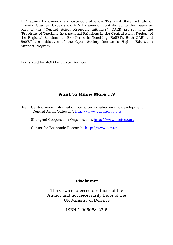Dr Vladimir Paramonov is a post-doctoral fellow, Tashkent State Institute for Oriental Studies, Uzbekistan. V V Paramonov contributed to this paper as part of the "Central Asian Research Initiative" (CARI) project and the "Problems of Teaching International Relations in the Central Asian Region" of the Regional Seminar for Excellence in Teaching (ReSET). Both CARI and ReSET are initiatives of the Open Society Institute's Higher Education Support Program.

Translated by MOD Linguistic Services.

## **Want to Know More …?**

See: Central Asian Information portal on social-economic development "Central Asian Gateway",<http://www.cagateway.org>

Shanghai Cooperation Organization, <http://www.sectsco.org>

Center for Economic Research,<http://www.cer.uz>

## **Disclaimer**

The views expressed are those of the Author and not necessarily those of the UK Ministry of Defence

ISBN 1-905058-22-5